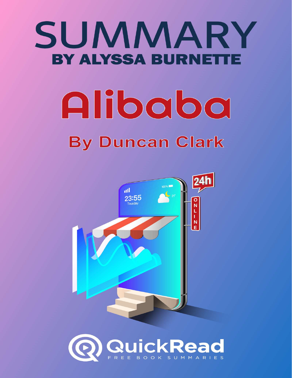# SUMMARY **BY ALYSSA BURNET** Alibaba **By Duncan Clark**



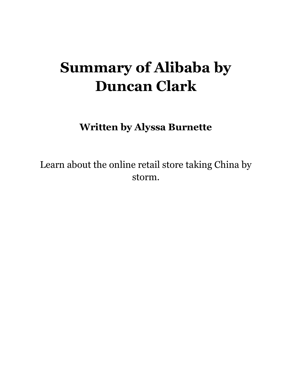# Summary of Alibaba by Duncan Clark

Written by Alyssa Burnette

Learn about the online retail store taking China by storm.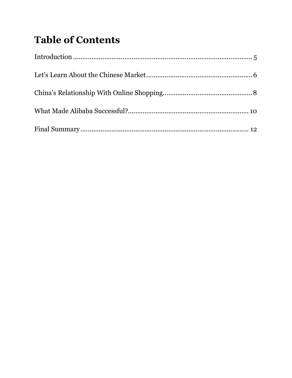## **Table of Contents**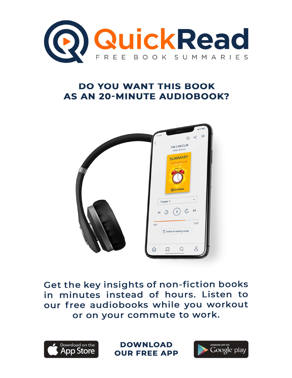

#### **DO YOU WANT THIS BOOK AS AN 20-MINUTE AUDIOBOOK?**



Get the key insights of non-fiction books in minutes instead of hours. Listen to our free audiobooks while you workout or on your commute to work.



**DOWNLOAD OUR FREE APP** 

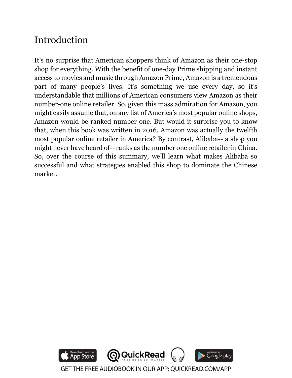#### Introduction

It's no surprise that American shoppers think of Amazon as their one-stop shop for everything. With the benefit of one-day Prime shipping and instant access to movies and music through Amazon Prime, Amazon is a tremendous part of many people's lives. It's something we use every day, so it's understandable that millions of American consumers view Amazon as their number-one online retailer. So, given this mass admiration for Amazon, you might easily assume that, on any list of America's most popular online shops, Amazon would be ranked number one. But would it surprise you to know that, when this book was written in 2016, Amazon was actually the twelfth most popular online retailer in America? By contrast, Alibaba-- a shop you might never have heard of-- ranks as the number one online retailer in China. So, over the course of this summary, we'll learn what makes Alibaba so successful and what strategies enabled this shop to dominate the Chinese market.

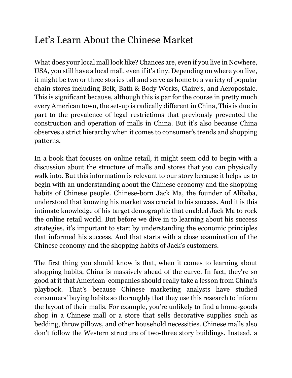#### Let's Learn About the Chinese Market

What does your local mall look like? Chances are, even if you live in Nowhere, USA, you still have a local mall, even if it's tiny. Depending on where you live, it might be two or three stories tall and serve as home to a variety of popular chain stores including Belk, Bath & Body Works, Claire's, and Aeropostale. This is significant because, although this is par for the course in pretty much every American town, the set-up is radically different in China, This is due in part to the prevalence of legal restrictions that previously prevented the construction and operation of malls in China. But it's also because China observes a strict hierarchy when it comes to consumer's trends and shopping patterns.

In a book that focuses on online retail, it might seem odd to begin with a discussion about the structure of malls and stores that you can physically walk into. But this information is relevant to our story because it helps us to begin with an understanding about the Chinese economy and the shopping habits of Chinese people. Chinese-born Jack Ma, the founder of Alibaba, understood that knowing his market was crucial to his success. And it is this intimate knowledge of his target demographic that enabled Jack Ma to rock the online retail world. But before we dive in to learning about his success strategies, it's important to start by understanding the economic principles that informed his success. And that starts with a close examination of the Chinese economy and the shopping habits of Jack's customers.

The first thing you should know is that, when it comes to learning about shopping habits, China is massively ahead of the curve. In fact, they're so good at it that American companies should really take a lesson from China's playbook. That's because Chinese marketing analysts have studied consumers' buying habits so thoroughly that they use this research to inform the layout of their malls. For example, you're unlikely to find a home-goods shop in a Chinese mall or a store that sells decorative supplies such as bedding, throw pillows, and other household necessities. Chinese malls also don't follow the Western structure of two-three story buildings. Instead, a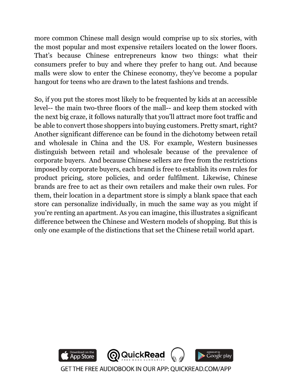more common Chinese mall design would comprise up to six stories, with the most popular and most expensive retailers located on the lower floors. That's because Chinese entrepreneurs know two things: what their consumers prefer to buy and where they prefer to hang out. And because malls were slow to enter the Chinese economy, they've become a popular hangout for teens who are drawn to the latest fashions and trends.

So, if you put the stores most likely to be frequented by kids at an accessible level-- the main two-three floors of the mall-- and keep them stocked with the next big craze, it follows naturally that you'll attract more foot traffic and be able to convert those shoppers into buying customers. Pretty smart, right? Another significant difference can be found in the dichotomy between retail and wholesale in China and the US. For example, Western businesses distinguish between retail and wholesale because of the prevalence of corporate buyers. And because Chinese sellers are free from the restrictions imposed by corporate buyers, each brand is free to establish its own rules for product pricing, store policies, and order fulfilment. Likewise, Chinese brands are free to act as their own retailers and make their own rules. For them, their location in a department store is simply a blank space that each store can personalize individually, in much the same way as you might if you're renting an apartment. As you can imagine, this illustrates a significant difference between the Chinese and Western models of shopping. But this is only one example of the distinctions that set the Chinese retail world apart.

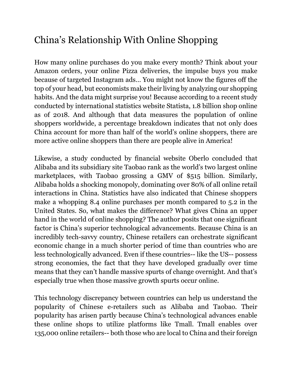### China's Relationship With Online Shopping

How many online purchases do you make every month? Think about your Amazon orders, your online Pizza deliveries, the impulse buys you make because of targeted Instagram ads… You might not know the figures off the top of your head, but economists make their living by analyzing our shopping habits. And the data might surprise you! Because according to a recent study conducted by international statistics website Statista, 1.8 billion shop online as of 2018. And although that data measures the population of online shoppers worldwide, a percentage breakdown indicates that not only does China account for more than half of the world's online shoppers, there are more active online shoppers than there are people alive in America!

Likewise, a study conducted by financial website Oberlo concluded that Alibaba and its subsidiary site Taobao rank as the world's two largest online marketplaces, with Taobao grossing a GMV of \$515 billion. Similarly, Alibaba holds a shocking monopoly, dominating over 80% of all online retail interactions in China. Statistics have also indicated that Chinese shoppers make a whopping 8.4 online purchases per month compared to 5.2 in the United States. So, what makes the difference? What gives China an upper hand in the world of online shopping? The author posits that one significant factor is China's superior technological advancements. Because China is an incredibly tech-savvy country, Chinese retailers can orchestrate significant economic change in a much shorter period of time than countries who are less technologically advanced. Even if these countries-- like the US-- possess strong economies, the fact that they have developed gradually over time means that they can't handle massive spurts of change overnight. And that's especially true when those massive growth spurts occur online.

This technology discrepancy between countries can help us understand the popularity of Chinese e-retailers such as Alibaba and Taobao. Their popularity has arisen partly because China's technological advances enable these online shops to utilize platforms like Tmall. Tmall enables over 135,000 online retailers-- both those who are local to China and their foreign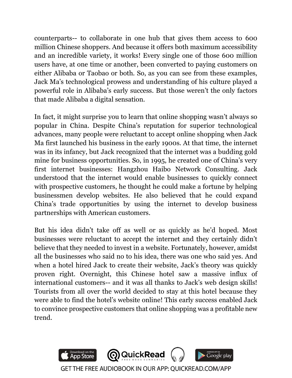counterparts-- to collaborate in one hub that gives them access to 600 million Chinese shoppers. And because it offers both maximum accessibility and an incredible variety, it works! Every single one of those 600 million users have, at one time or another, been converted to paying customers on either Alibaba or Taobao or both. So, as you can see from these examples, Jack Ma's technological prowess and understanding of his culture played a powerful role in Alibaba's early success. But those weren't the only factors that made Alibaba a digital sensation.

In fact, it might surprise you to learn that online shopping wasn't always so popular in China. Despite China's reputation for superior technological advances, many people were reluctant to accept online shopping when Jack Ma first launched his business in the early 1900s. At that time, the internet was in its infancy, but Jack recognized that the internet was a budding gold mine for business opportunities. So, in 1995, he created one of China's very first internet businesses: Hangzhou Haibo Network Consulting. Jack understood that the internet would enable businesses to quickly connect with prospective customers, he thought he could make a fortune by helping businessmen develop websites. He also believed that he could expand China's trade opportunities by using the internet to develop business partnerships with American customers.

But his idea didn't take off as well or as quickly as he'd hoped. Most businesses were reluctant to accept the internet and they certainly didn't believe that they needed to invest in a website. Fortunately, however, amidst all the businesses who said no to his idea, there was one who said yes. And when a hotel hired Jack to create their website, Jack's theory was quickly proven right. Overnight, this Chinese hotel saw a massive influx of international customers-- and it was all thanks to Jack's web design skills! Tourists from all over the world decided to stay at this hotel because they were able to find the hotel's website online! This early success enabled Jack to convince prospective customers that online shopping was a profitable new trend.

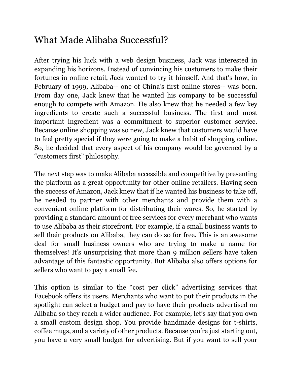#### What Made Alibaba Successful?

After trying his luck with a web design business, Jack was interested in expanding his horizons. Instead of convincing his customers to make their fortunes in online retail, Jack wanted to try it himself. And that's how, in February of 1999, Alibaba-- one of China's first online stores-- was born. From day one, Jack knew that he wanted his company to be successful enough to compete with Amazon. He also knew that he needed a few key ingredients to create such a successful business. The first and most important ingredient was a commitment to superior customer service. Because online shopping was so new, Jack knew that customers would have to feel pretty special if they were going to make a habit of shopping online. So, he decided that every aspect of his company would be governed by a "customers first" philosophy.

The next step was to make Alibaba accessible and competitive by presenting the platform as a great opportunity for other online retailers. Having seen the success of Amazon, Jack knew that if he wanted his business to take off, he needed to partner with other merchants and provide them with a convenient online platform for distributing their wares. So, he started by providing a standard amount of free services for every merchant who wants to use Alibaba as their storefront. For example, if a small business wants to sell their products on Alibaba, they can do so for free. This is an awesome deal for small business owners who are trying to make a name for themselves! It's unsurprising that more than 9 million sellers have taken advantage of this fantastic opportunity. But Alibaba also offers options for sellers who want to pay a small fee.

This option is similar to the "cost per click" advertising services that Facebook offers its users. Merchants who want to put their products in the spotlight can select a budget and pay to have their products advertised on Alibaba so they reach a wider audience. For example, let's say that you own a small custom design shop. You provide handmade designs for t-shirts, coffee mugs, and a variety of other products. Because you're just starting out, you have a very small budget for advertising. But if you want to sell your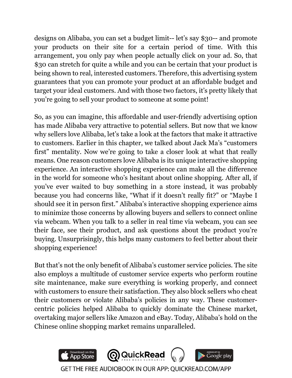designs on Alibaba, you can set a budget limit-- let's say \$30-- and promote your products on their site for a certain period of time. With this arrangement, you only pay when people actually click on your ad. So, that \$30 can stretch for quite a while and you can be certain that your product is being shown to real, interested customers. Therefore, this advertising system guarantees that you can promote your product at an affordable budget and target your ideal customers. And with those two factors, it's pretty likely that you're going to sell your product to someone at some point!

So, as you can imagine, this affordable and user-friendly advertising option has made Alibaba very attractive to potential sellers. But now that we know why sellers love Alibaba, let's take a look at the factors that make it attractive to customers. Earlier in this chapter, we talked about Jack Ma's "customers first" mentality. Now we're going to take a closer look at what that really means. One reason customers love Alibaba is its unique interactive shopping experience. An interactive shopping experience can make all the difference in the world for someone who's hesitant about online shopping. After all, if you've ever waited to buy something in a store instead, it was probably because you had concerns like, "What if it doesn't really fit?" or "Maybe I should see it in person first." Alibaba's interactive shopping experience aims to minimize those concerns by allowing buyers and sellers to connect online via webcam. When you talk to a seller in real time via webcam, you can see their face, see their product, and ask questions about the product you're buying. Unsurprisingly, this helps many customers to feel better about their shopping experience!

But that's not the only benefit of Alibaba's customer service policies. The site also employs a multitude of customer service experts who perform routine site maintenance, make sure everything is working properly, and connect with customers to ensure their satisfaction. They also block sellers who cheat their customers or violate Alibaba's policies in any way. These customercentric policies helped Alibaba to quickly dominate the Chinese market, overtaking major sellers like Amazon and eBay. Today, Alibaba's hold on the Chinese online shopping market remains unparalleled.

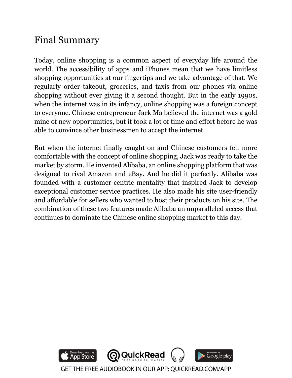#### Final Summary

Today, online shopping is a common aspect of everyday life around the world. The accessibility of apps and iPhones mean that we have limitless shopping opportunities at our fingertips and we take advantage of that. We regularly order takeout, groceries, and taxis from our phones via online shopping without ever giving it a second thought. But in the early 1990s, when the internet was in its infancy, online shopping was a foreign concept to everyone. Chinese entrepreneur Jack Ma believed the internet was a gold mine of new opportunities, but it took a lot of time and effort before he was able to convince other businessmen to accept the internet.

But when the internet finally caught on and Chinese customers felt more comfortable with the concept of online shopping, Jack was ready to take the market by storm. He invented Alibaba, an online shopping platform that was designed to rival Amazon and eBay. And he did it perfectly. Alibaba was founded with a customer-centric mentality that inspired Jack to develop exceptional customer service practices. He also made his site user-friendly and affordable for sellers who wanted to host their products on his site. The combination of these two features made Alibaba an unparalleled access that continues to dominate the Chinese online shopping market to this day.